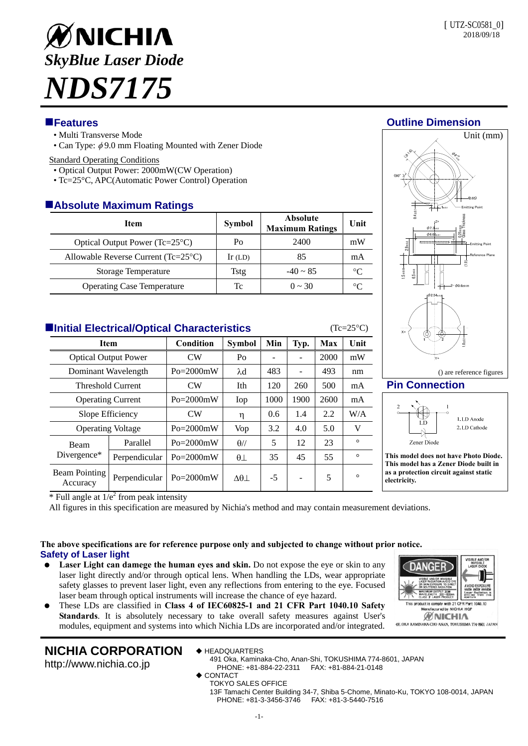

## **Features Outline Dimension**

- Multi Transverse Mode
- Can Type:  $\phi$ 9.0 mm Floating Mounted with Zener Diode

#### Standard Operating Conditions

- Optical Output Power: 2000mW(CW Operation)
- Tc=25°C, APC(Automatic Power Control) Operation

## **Absolute Maximum Ratings**

| <b>Item</b>                                  | Symbol    | <b>Absolute</b><br><b>Maximum Ratings</b> | Unit        |
|----------------------------------------------|-----------|-------------------------------------------|-------------|
| Optical Output Power ( $Tc=25^{\circ}C$ )    | Po        | 2400                                      | mW          |
| Allowable Reverse Current $(Tc=25^{\circ}C)$ | $Ir$ (LD) | 85                                        | mA          |
| Storage Temperature                          | Tstg      | $-40 \sim 85$                             | $^{\circ}C$ |
| <b>Operating Case Temperature</b>            | Tc        | $0 \sim 30$                               | $^{\circ}C$ |

# **Initial Electrical/Optical Characteristics** (Tc=25°C)

| <b>Item</b>                      |                                 | Condition     | <b>Symbol</b>  | Min  | Typ. | Max  | Unit    |  |  |
|----------------------------------|---------------------------------|---------------|----------------|------|------|------|---------|--|--|
| <b>Optical Output Power</b>      |                                 | CW            | Po             |      | ۰    | 2000 | mW      |  |  |
| Dominant Wavelength              |                                 | $Po = 2000mW$ | $\lambda$ d    | 483  |      | 493  | nm      |  |  |
| <b>Threshold Current</b>         |                                 | CW            | Ith            | 120  | 260  | 500  | mA      |  |  |
| <b>Operating Current</b>         |                                 | $Po = 2000mW$ | Iop            | 1000 | 1900 | 2600 | mA      |  |  |
| Slope Efficiency                 |                                 | CW            | η              | 0.6  | 1.4  | 2.2  | W/A     |  |  |
| <b>Operating Voltage</b>         |                                 | $Po = 2000mW$ | Vop            | 3.2  | 4.0  | 5.0  | V       |  |  |
| Beam<br>Divergence*              | Parallel                        | $Po = 2000mW$ | $\theta$ //    | 5    | 12   | 23   | $\circ$ |  |  |
|                                  | Perpendicular                   | $Po = 2000mW$ | $\theta\perp$  | 35   | 45   | 55   | $\circ$ |  |  |
| <b>Beam Pointing</b><br>Accuracy | Perpendicular<br>$\overline{ }$ | $Po = 2000mW$ | $\Delta\theta$ | $-5$ |      | 5    | $\circ$ |  |  |



## **Pin Connection**



() are reference figures

**This model does not have Photo Diode. This model has a Zener Diode built in as a protection circuit against static electricity.** 

 $*$  Full angle at  $1/e^2$  from peak intensity

All figures in this specification are measured by Nichia's method and may contain measurement deviations.

### **The above specifications are for reference purpose only and subjected to change without prior notice. Safety of Laser light**

- Laser Light can damege the human eyes and skin. Do not expose the eye or skin to any laser light directly and/or through optical lens. When handling the LDs, wear appropriate safety glasses to prevent laser light, even any reflections from entering to the eye. Focused laser beam through optical instruments will increase the chance of eye hazard.
- These LDs are classified in **Class 4 of IEC60825-1 and 21 CFR Part 1040.10 Safety Standards**. It is absolutely necessary to take overall safety measures against User's modules, equipment and systems into which Nichia LDs are incorporated and/or integrated.



# **NICHIA CORPORATION**

http://www.nichia.co.jp

- ◆ HEADQUARTERS
	- 491 Oka, Kaminaka-Cho, Anan-Shi, TOKUSHIMA 774-8601, JAPAN PHONE: +81-884-22-2311 FAX: +81-884-21-0148
	- ◆ CONTACT
		- TOKYO SALES OFFICE 13F Tamachi Center Building 34-7, Shiba 5-Chome, Minato-Ku, TOKYO 108-0014, JAPAN PHONE: +81-3-3456-3746 FAX: +81-3-5440-7516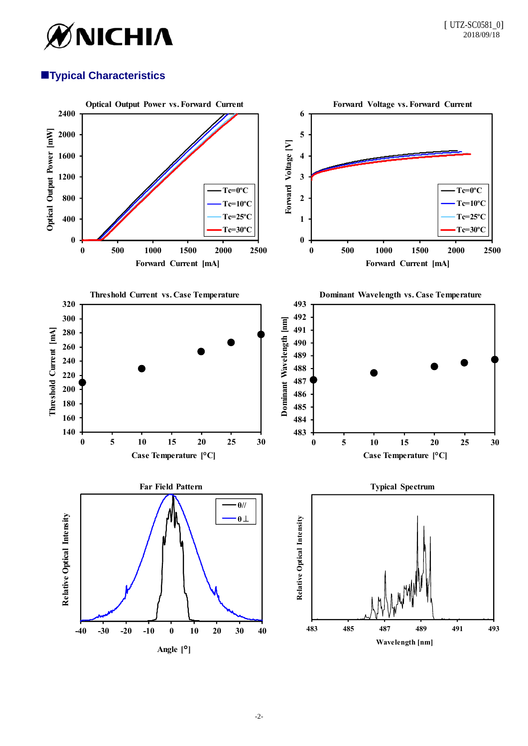

# **Typical Characteristics**